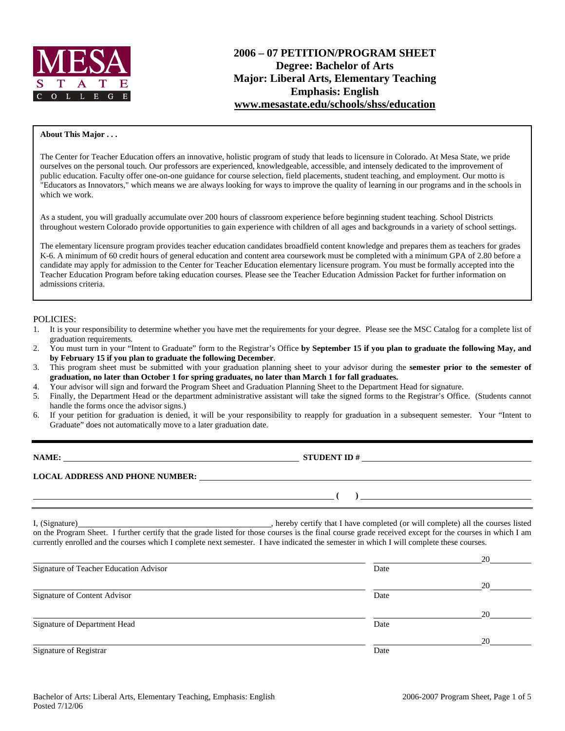

# **2006 – 07 PETITION/PROGRAM SHEET Degree: Bachelor of Arts Major: Liberal Arts, Elementary Teaching Emphasis: English www.mesastate.edu/schools/shss/education**

#### **About This Major . . .**

The Center for Teacher Education offers an innovative, holistic program of study that leads to licensure in Colorado. At Mesa State, we pride ourselves on the personal touch. Our professors are experienced, knowledgeable, accessible, and intensely dedicated to the improvement of public education. Faculty offer one-on-one guidance for course selection, field placements, student teaching, and employment. Our motto is "Educators as Innovators," which means we are always looking for ways to improve the quality of learning in our programs and in the schools in which we work.

As a student, you will gradually accumulate over 200 hours of classroom experience before beginning student teaching. School Districts throughout western Colorado provide opportunities to gain experience with children of all ages and backgrounds in a variety of school settings.

The elementary licensure program provides teacher education candidates broadfield content knowledge and prepares them as teachers for grades K-6. A minimum of 60 credit hours of general education and content area coursework must be completed with a minimum GPA of 2.80 before a candidate may apply for admission to the Center for Teacher Education elementary licensure program. You must be formally accepted into the Teacher Education Program before taking education courses. Please see the Teacher Education Admission Packet for further information on admissions criteria.

#### POLICIES:

- 1. It is your responsibility to determine whether you have met the requirements for your degree. Please see the MSC Catalog for a complete list of graduation requirements.
- 2. You must turn in your "Intent to Graduate" form to the Registrar's Office **by September 15 if you plan to graduate the following May, and by February 15 if you plan to graduate the following December**.
- 3. This program sheet must be submitted with your graduation planning sheet to your advisor during the **semester prior to the semester of graduation, no later than October 1 for spring graduates, no later than March 1 for fall graduates.**
- 4. Your advisor will sign and forward the Program Sheet and Graduation Planning Sheet to the Department Head for signature.
- 5. Finally, the Department Head or the department administrative assistant will take the signed forms to the Registrar's Office. (Students cannot handle the forms once the advisor signs.)
- 6. If your petition for graduation is denied, it will be your responsibility to reapply for graduation in a subsequent semester. Your "Intent to Graduate" does not automatically move to a later graduation date.

**STUDENT ID #** 

 **( )** 

**LOCAL ADDRESS AND PHONE NUMBER:**

I, (Signature) , hereby certify that I have completed (or will complete) all the courses listed on the Program Sheet. I further certify that the grade listed for those courses is the final course grade received except for the courses in which I am currently enrolled and the courses which I complete next semester. I have indicated the semester in which I will complete these courses.

|                                        |      | 20 |
|----------------------------------------|------|----|
| Signature of Teacher Education Advisor | Date |    |
|                                        |      | 20 |
| Signature of Content Advisor           | Date |    |
|                                        |      | 20 |
| Signature of Department Head           | Date |    |
|                                        |      | 20 |
| Signature of Registrar                 | Date |    |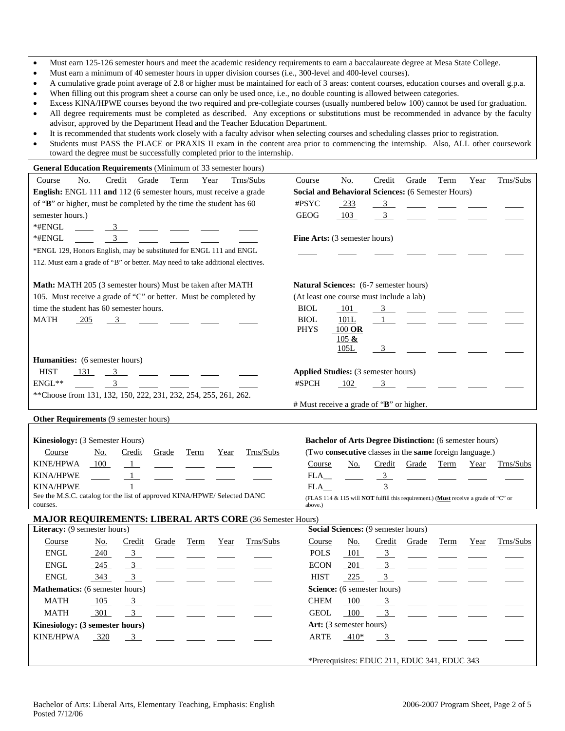- Must earn 125-126 semester hours and meet the academic residency requirements to earn a baccalaureate degree at Mesa State College.
- Must earn a minimum of 40 semester hours in upper division courses (i.e., 300-level and 400-level courses).
- A cumulative grade point average of 2.8 or higher must be maintained for each of 3 areas: content courses, education courses and overall g.p.a.
- When filling out this program sheet a course can only be used once, i.e., no double counting is allowed between categories.
- Excess KINA/HPWE courses beyond the two required and pre-collegiate courses (usually numbered below 100) cannot be used for graduation. • All degree requirements must be completed as described. Any exceptions or substitutions must be recommended in advance by the faculty advisor, approved by the Department Head and the Teacher Education Department.
- It is recommended that students work closely with a faculty advisor when selecting courses and scheduling classes prior to registration.
- Students must PASS the PLACE or PRAXIS II exam in the content area prior to commencing the internship. Also, ALL other coursework toward the degree must be successfully completed prior to the internship.

| General Education Requirements (Minimum of 33 semester hours)                   |                                                                                     |  |  |  |  |  |  |
|---------------------------------------------------------------------------------|-------------------------------------------------------------------------------------|--|--|--|--|--|--|
| Credit<br>Course<br>No.<br>Grade<br>Term<br>Year<br>Trns/Subs                   | Credit<br>Grade<br>Trns/Subs<br>Course<br>No.<br>Term<br>Year                       |  |  |  |  |  |  |
| English: ENGL 111 and 112 (6 semester hours, must receive a grade               | <b>Social and Behavioral Sciences: (6 Semester Hours)</b>                           |  |  |  |  |  |  |
| of "B" or higher, must be completed by the time the student has 60              | #PSYC<br>$-233$<br>$\overline{3}$                                                   |  |  |  |  |  |  |
| semester hours.)                                                                | GEOG<br>103<br>$\overline{\mathbf{3}}$                                              |  |  |  |  |  |  |
| *#ENGL<br>$\frac{3}{2}$                                                         |                                                                                     |  |  |  |  |  |  |
| 3<br>*#ENGL                                                                     | Fine Arts: (3 semester hours)                                                       |  |  |  |  |  |  |
| *ENGL 129, Honors English, may be substituted for ENGL 111 and ENGL             |                                                                                     |  |  |  |  |  |  |
| 112. Must earn a grade of "B" or better. May need to take additional electives. |                                                                                     |  |  |  |  |  |  |
|                                                                                 |                                                                                     |  |  |  |  |  |  |
| Math: MATH 205 (3 semester hours) Must be taken after MATH                      | <b>Natural Sciences:</b> (6-7 semester hours)                                       |  |  |  |  |  |  |
| 105. Must receive a grade of "C" or better. Must be completed by                | (At least one course must include a lab)                                            |  |  |  |  |  |  |
| time the student has 60 semester hours.                                         | <b>BIOL</b><br>101<br>3<br>$\overline{\phantom{a}}$                                 |  |  |  |  |  |  |
| <b>MATH</b><br>$-205$<br>3                                                      | <b>BIOL</b><br>101L                                                                 |  |  |  |  |  |  |
|                                                                                 | <b>PHYS</b><br>$100$ OR                                                             |  |  |  |  |  |  |
|                                                                                 | 105 $\&$                                                                            |  |  |  |  |  |  |
|                                                                                 | 105L<br>$\overline{\mathbf{3}}$                                                     |  |  |  |  |  |  |
| Humanities: (6 semester hours)                                                  |                                                                                     |  |  |  |  |  |  |
| <b>HIST</b><br>131<br>$3^{\circ}$<br>ENGL**<br>3                                | Applied Studies: (3 semester hours)                                                 |  |  |  |  |  |  |
|                                                                                 | #SPCH<br>102<br>3                                                                   |  |  |  |  |  |  |
| **Choose from 131, 132, 150, 222, 231, 232, 254, 255, 261, 262.                 | # Must receive a grade of "B" or higher.                                            |  |  |  |  |  |  |
|                                                                                 |                                                                                     |  |  |  |  |  |  |
| Other Requirements (9 semester hours)                                           |                                                                                     |  |  |  |  |  |  |
| Kinesiology: (3 Semester Hours)                                                 | <b>Bachelor of Arts Degree Distinction:</b> (6 semester hours)                      |  |  |  |  |  |  |
| Trns/Subs<br>Course<br><u>No.</u><br>Credit<br>Grade<br>Term<br>Year            | (Two consecutive classes in the same foreign language.)                             |  |  |  |  |  |  |
| KINE/HPWA<br>100<br>$\mathbf{1}$                                                | Course<br>No.<br>Credit<br>Grade<br>Term<br>Trns/Subs<br>Year                       |  |  |  |  |  |  |
| <b>KINA/HPWE</b><br>1                                                           | $\frac{3}{2}$<br>FLA                                                                |  |  |  |  |  |  |
| <b>KINA/HPWE</b>                                                                | 3 <sup>7</sup><br>FLA                                                               |  |  |  |  |  |  |
| See the M.S.C. catalog for the list of approved KINA/HPWE/ Selected DANC        | (FLAS 114 & 115 will NOT fulfill this requirement.) (Must receive a grade of "C" or |  |  |  |  |  |  |
| courses.                                                                        | above.)                                                                             |  |  |  |  |  |  |
| MAJOR REQUIREMENTS: LIBERAL ARTS CORE (36 Semester Hours)                       |                                                                                     |  |  |  |  |  |  |
| Literacy: (9 semester hours)                                                    | Social Sciences: (9 semester hours)                                                 |  |  |  |  |  |  |
| Trns/Subs<br>Course<br>Grade<br><b>Term</b><br><u>No.</u><br>Credit<br>Year     | No.<br>Trns/Subs<br>Course<br>Credit<br>Grade<br>Term<br>Year                       |  |  |  |  |  |  |
| <b>ENGL</b><br>240<br>$\frac{3}{2}$                                             | <b>POLS</b><br>101<br>$\frac{3}{2}$                                                 |  |  |  |  |  |  |
| <b>ENGL</b><br>$\overline{\phantom{0}3}$<br>245                                 | <b>ECON</b><br>3 <sup>1</sup><br>201                                                |  |  |  |  |  |  |
| 343<br>ENGL<br>3                                                                | <b>HIST</b><br>225<br>3                                                             |  |  |  |  |  |  |
| Mathematics: (6 semester hours)                                                 | Science: (6 semester hours)                                                         |  |  |  |  |  |  |
| <b>MATH</b><br>105<br>$\frac{3}{2}$                                             | <b>CHEM</b><br>100<br>3 <sup>7</sup>                                                |  |  |  |  |  |  |
| <b>MATH</b><br>301<br>3                                                         | 100<br><b>GEOL</b><br>3 <sup>7</sup>                                                |  |  |  |  |  |  |
| Kinesiology: (3 semester hours)                                                 | Art: (3 semester hours)                                                             |  |  |  |  |  |  |
|                                                                                 |                                                                                     |  |  |  |  |  |  |
| <b>KINE/HPWA</b>                                                                | <b>ARTE</b><br>3                                                                    |  |  |  |  |  |  |
| 320<br>$\frac{3}{2}$                                                            | $-410*$                                                                             |  |  |  |  |  |  |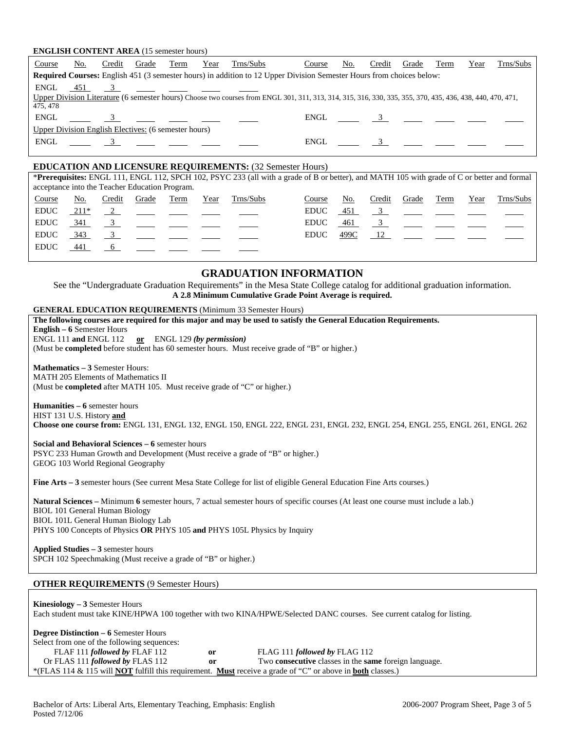#### **ENGLISH CONTENT AREA** (15 semester hours)

| Course   | No.                                                                                                                         | Credit | Grade                                                | Term | Year | Trns/Subs                                                                                             | Course                                                                                                                                                    | No. | Credit | Grade | Term | Year | Trns/Subs |
|----------|-----------------------------------------------------------------------------------------------------------------------------|--------|------------------------------------------------------|------|------|-------------------------------------------------------------------------------------------------------|-----------------------------------------------------------------------------------------------------------------------------------------------------------|-----|--------|-------|------|------|-----------|
|          | <b>Required Courses:</b> English 451 (3 semester hours) in addition to 12 Upper Division Semester Hours from choices below: |        |                                                      |      |      |                                                                                                       |                                                                                                                                                           |     |        |       |      |      |           |
| ENGL     |                                                                                                                             |        |                                                      |      |      | $\frac{451}{ }$ 3 $\frac{3}{ }$ $\frac{3}{ }$ $\frac{1}{ }$ $\frac{3}{ }$ $\frac{1}{ }$ $\frac{3}{ }$ |                                                                                                                                                           |     |        |       |      |      |           |
|          |                                                                                                                             |        |                                                      |      |      |                                                                                                       | Upper Division Literature (6 semester hours) Choose two courses from ENGL 301, 311, 313, 314, 315, 316, 330, 335, 355, 370, 435, 436, 438, 440, 470, 471, |     |        |       |      |      |           |
| 475, 478 |                                                                                                                             |        |                                                      |      |      |                                                                                                       |                                                                                                                                                           |     |        |       |      |      |           |
|          |                                                                                                                             |        |                                                      |      |      | ENGL 3                                                                                                |                                                                                                                                                           |     |        |       |      |      |           |
|          |                                                                                                                             |        | Upper Division English Electives: (6 semester hours) |      |      |                                                                                                       |                                                                                                                                                           |     |        |       |      |      |           |
|          |                                                                                                                             |        | $ENGL \t 3$ $       -$                               |      |      |                                                                                                       |                                                                                                                                                           |     |        |       |      |      |           |
|          |                                                                                                                             |        |                                                      |      |      |                                                                                                       |                                                                                                                                                           |     |        |       |      |      |           |
|          |                                                                                                                             |        |                                                      |      |      |                                                                                                       |                                                                                                                                                           |     |        |       |      |      |           |

#### **EDUCATION AND LICENSURE REQUIREMENTS:** (32 Semester Hours)

| acceptance into the Teacher Education Program. |      |        |                                       |      |      |           | *Prerequisites: ENGL 111, ENGL 112, SPCH 102, PSYC 233 (all with a grade of B or better), and MATH 105 with grade of C or better and formal |      |        |       |                                                                                         |      |           |
|------------------------------------------------|------|--------|---------------------------------------|------|------|-----------|---------------------------------------------------------------------------------------------------------------------------------------------|------|--------|-------|-----------------------------------------------------------------------------------------|------|-----------|
| Course                                         | No.  | Credit | Grade                                 | Term | Year | Trns/Subs | Course                                                                                                                                      | No.  | Credit | Grade | Term                                                                                    | Year | Trns/Subs |
| <b>EDUC</b>                                    | 211* |        | <u> 1990 - Jan Barristo, martin e</u> |      |      |           | <b>EDUC</b>                                                                                                                                 | 451  |        |       | $\frac{3}{2}$ $\frac{1}{2}$ $\frac{1}{2}$ $\frac{1}{2}$                                 |      |           |
| <b>EDUC</b>                                    | 341  |        |                                       |      |      |           | <b>EDUC</b>                                                                                                                                 | 461  |        |       |                                                                                         |      |           |
| <b>EDUC</b>                                    | 343  |        |                                       |      |      |           | <b>EDUC</b>                                                                                                                                 | 499C |        |       | $\frac{12}{\sqrt{2}}$ $\frac{12}{\sqrt{2}}$ $\frac{12}{\sqrt{2}}$ $\frac{12}{\sqrt{2}}$ |      |           |
| <b>EDUC</b>                                    | 441  |        |                                       |      |      |           |                                                                                                                                             |      |        |       |                                                                                         |      |           |
|                                                |      |        |                                       |      |      |           |                                                                                                                                             |      |        |       |                                                                                         |      |           |

## **GRADUATION INFORMATION**

See the "Undergraduate Graduation Requirements" in the Mesa State College catalog for additional graduation information. **A 2.8 Minimum Cumulative Grade Point Average is required.**

#### **GENERAL EDUCATION REQUIREMENTS** (Minimum 33 Semester Hours)

| The following courses are required for this major and may be used to satisfy the General Education Requirements.                                                                                                                                                                                       |
|--------------------------------------------------------------------------------------------------------------------------------------------------------------------------------------------------------------------------------------------------------------------------------------------------------|
| <b>English – 6 Semester Hours</b>                                                                                                                                                                                                                                                                      |
| ENGL 111 and ENGL 112 or ENGL 129 (by permission)                                                                                                                                                                                                                                                      |
| (Must be <b>completed</b> before student has 60 semester hours. Must receive grade of "B" or higher.)                                                                                                                                                                                                  |
| <b>Mathematics - 3 Semester Hours:</b><br>MATH 205 Elements of Mathematics II<br>(Must be <b>completed</b> after MATH 105. Must receive grade of "C" or higher.)                                                                                                                                       |
| <b>Humanities – 6</b> semester hours                                                                                                                                                                                                                                                                   |
| HIST 131 U.S. History and                                                                                                                                                                                                                                                                              |
| Choose one course from: ENGL 131, ENGL 132, ENGL 150, ENGL 222, ENGL 231, ENGL 232, ENGL 254, ENGL 255, ENGL 261, ENGL 262                                                                                                                                                                             |
| Social and Behavioral Sciences – 6 semester hours<br>PSYC 233 Human Growth and Development (Must receive a grade of "B" or higher.)<br>GEOG 103 World Regional Geography                                                                                                                               |
| <b>Fine Arts – 3</b> semester hours (See current Mesa State College for list of eligible General Education Fine Arts courses.)                                                                                                                                                                         |
| <b>Natural Sciences</b> – Minimum 6 semester hours, 7 actual semester hours of specific courses (At least one course must include a lab.)<br><b>BIOL 101 General Human Biology</b><br>BIOL 101L General Human Biology Lab<br>PHYS 100 Concepts of Physics OR PHYS 105 and PHYS 105L Physics by Inquiry |
| Applied Studies - 3 semester hours<br>SPCH 102 Speechmaking (Must receive a grade of "B" or higher.)                                                                                                                                                                                                   |
| <b>OTHER REQUIREMENTS (9 Semester Hours)</b>                                                                                                                                                                                                                                                           |

# **Kinesiology – 3** Semester Hours Each student must take KINE/HPWA 100 together with two KINA/HPWE/Selected DANC courses. See current catalog for listing. **Degree Distinction – 6** Semester Hours

Select from one of the following sequences: FLAF 111 *followed by* FLAF 112 **or** FLAG 111 *followed by* FLAG 112 Or FLAS 111 *followed by* FLAS 112 **or** Two **consecutive** classes in the **same** foreign language. \*(FLAS 114 & 115 will **NOT** fulfill this requirement. **Must** receive a grade of "C" or above in **both** classes.)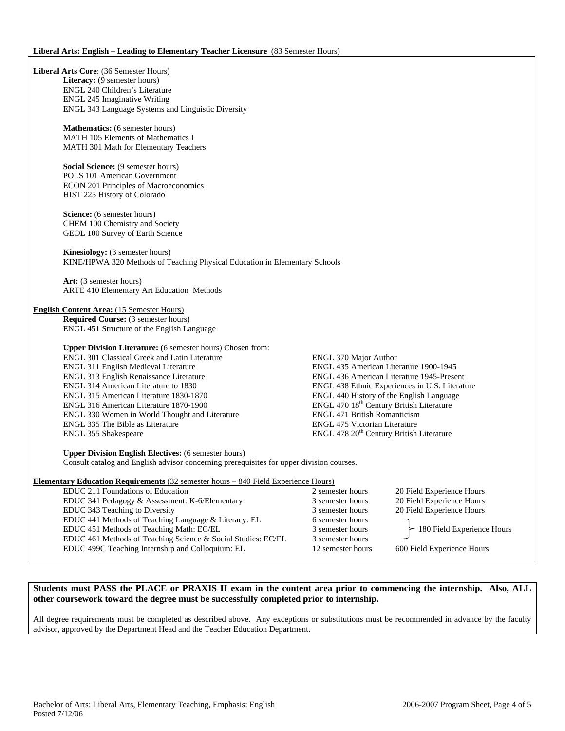**Liberal Arts Core**: (36 Semester Hours) Literacy: (9 semester hours) ENGL 240 Children's Literature ENGL 245 Imaginative Writing ENGL 343 Language Systems and Linguistic Diversity **Mathematics:** (6 semester hours) MATH 105 Elements of Mathematics I MATH 301 Math for Elementary Teachers **Social Science:** (9 semester hours) POLS 101 American Government ECON 201 Principles of Macroeconomics HIST 225 History of Colorado **Science:** (6 semester hours) CHEM 100 Chemistry and Society GEOL 100 Survey of Earth Science **Kinesiology:** (3 semester hours) KINE/HPWA 320 Methods of Teaching Physical Education in Elementary Schools **Art:** (3 semester hours) ARTE 410 Elementary Art Education Methods **English Content Area:** (15 Semester Hours) **Required Course:** (3 semester hours) ENGL 451 Structure of the English Language **Upper Division Literature:** (6 semester hours) Chosen from: ENGL 301 Classical Greek and Latin Literature ENGL 370 Major Author ENGL 311 English Medieval Literature ENGL 435 American Literature 1900-1945 ENGL 313 English Renaissance Literature ENGL 436 American Literature 1945-Present ENGL 314 American Literature to 1830<br>
ENGL 438 Ethnic Experiences in U.S. Literature<br>
ENGL 440 History of the English Language ENGL 440 History of the English Language ENGL 316 American Literature 1870-1900 ENGL 470 18th Century British Literature ENGL 330 Women in World Thought and Literature ENGL 471 British Romanticism ENGL 335 The Bible as Literature ENGL 475 Victorian Literature ENGL 355 Shakespeare ENGL 478 20<sup>th</sup> Century British Literature **Upper Division English Electives:** (6 semester hours) Consult catalog and English advisor concerning prerequisites for upper division courses. **Elementary Education Requirements** (32 semester hours – 840 Field Experience Hours) EDUC 211 Foundations of Education 2 semester hours 20 Field Experience Hours EDUC 341 Pedagogy & Assessment: K-6/Elementary 3 semester hours 20 Field Experience Hours EDUC 343 Teaching to Diversity 3 semester hours 3 semester hours 20 Field Experience Hours EDUC 441 Methods of Teaching Language & Literacy: EL 6 semester hours EDUC 451 Methods of Teaching Math: EC/EL 3 semester hours 180 Field Experience Hours EDUC 461 Methods of Teaching Science & Social Studies: EC/EL 3 semester hours EDUC 499C Teaching Internship and Colloquium: EL 12 semester hours 600 Field Experience Hours

**Students must PASS the PLACE or PRAXIS II exam in the content area prior to commencing the internship. Also, ALL other coursework toward the degree must be successfully completed prior to internship.** 

All degree requirements must be completed as described above. Any exceptions or substitutions must be recommended in advance by the faculty advisor, approved by the Department Head and the Teacher Education Department.